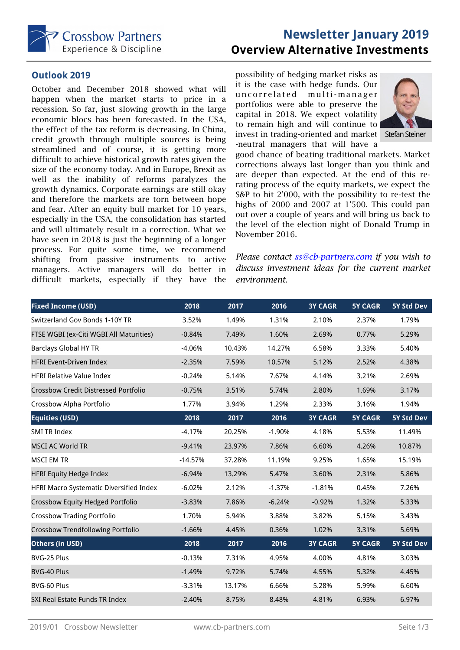

# **Newsletter January 2019 Overview Alternative Investments**

### **Outlook 2019**

October and December 2018 showed what will happen when the market starts to price in a recession. So far, just slowing growth in the large economic blocs has been forecasted. In the USA, the effect of the tax reform is decreasing. In China, credit growth through multiple sources is being streamlined and of course, it is getting more difficult to achieve historical growth rates given the size of the economy today. And in Europe, Brexit as well as the inability of reforms paralyzes the growth dynamics. Corporate earnings are still okay and therefore the markets are torn between hope and fear. After an equity bull market for 10 years, especially in the USA, the consolidation has started and will ultimately result in a correction. What we have seen in 2018 is just the beginning of a longer process. For quite some time, we recommend shifting from passive instruments to active managers. Active managers will do better in difficult markets, especially if they have the

possibility of hedging market risks as it is the case with hedge funds. Our uncorrelated multi-manager portfolios were able to preserve the capital in 2018. We expect volatility to remain high and will continue to invest in trading-oriented and market Stefan Steiner -neutral managers that will have a



good chance of beating traditional markets. Market corrections always last longer than you think and are deeper than expected. At the end of this rerating process of the equity markets, we expect the S&P to hit 2'000, with the possibility to re-test the highs of 2000 and 2007 at 1'500. This could pan out over a couple of years and will bring us back to the level of the election night of Donald Trump in November 2016.

*Please contact ss@cb-partners.com if you wish to discuss investment ideas for the current market environment.* 

| <b>Fixed Income (USD)</b>                   | 2018      | 2017   | 2016     | <b>3Y CAGR</b> | <b>5Y CAGR</b> | 5Y Std Dev |
|---------------------------------------------|-----------|--------|----------|----------------|----------------|------------|
| Switzerland Gov Bonds 1-10Y TR              | 3.52%     | 1.49%  | 1.31%    | 2.10%          | 2.37%          | 1.79%      |
| FTSE WGBI (ex-Citi WGBI All Maturities)     | $-0.84%$  | 7.49%  | 1.60%    | 2.69%          | 0.77%          | 5.29%      |
| <b>Barclays Global HY TR</b>                | $-4.06%$  | 10.43% | 14.27%   | 6.58%          | 3.33%          | 5.40%      |
| <b>HFRI Event-Driven Index</b>              | $-2.35%$  | 7.59%  | 10.57%   | 5.12%          | 2.52%          | 4.38%      |
| <b>HFRI Relative Value Index</b>            | $-0.24%$  | 5.14%  | 7.67%    | 4.14%          | 3.21%          | 2.69%      |
| <b>Crossbow Credit Distressed Portfolio</b> | $-0.75%$  | 3.51%  | 5.74%    | 2.80%          | 1.69%          | 3.17%      |
| Crossbow Alpha Portfolio                    | 1.77%     | 3.94%  | 1.29%    | 2.33%          | 3.16%          | 1.94%      |
| <b>Equities (USD)</b>                       | 2018      | 2017   | 2016     | <b>3Y CAGR</b> | <b>5Y CAGR</b> | 5Y Std Dev |
| <b>SMI TR Index</b>                         | $-4.17%$  | 20.25% | $-1.90%$ | 4.18%          | 5.53%          | 11.49%     |
| <b>MSCI AC World TR</b>                     | $-9.41%$  | 23.97% | 7.86%    | 6.60%          | 4.26%          | 10.87%     |
| MSCI EM TR                                  | $-14.57%$ | 37.28% | 11.19%   | 9.25%          | 1.65%          | 15.19%     |
| <b>HFRI Equity Hedge Index</b>              | $-6.94%$  | 13.29% | 5.47%    | 3.60%          | 2.31%          | 5.86%      |
| HFRI Macro Systematic Diversified Index     | $-6.02%$  | 2.12%  | $-1.37%$ | $-1.81%$       | 0.45%          | 7.26%      |
| Crossbow Equity Hedged Portfolio            | $-3.83%$  | 7.86%  | $-6.24%$ | $-0.92%$       | 1.32%          | 5.33%      |
| <b>Crossbow Trading Portfolio</b>           | 1.70%     | 5.94%  | 3.88%    | 3.82%          | 5.15%          | 3.43%      |
| <b>Crossbow Trendfollowing Portfolio</b>    | $-1.66%$  | 4.45%  | 0.36%    | 1.02%          | 3.31%          | 5.69%      |
| Others (in USD)                             | 2018      | 2017   | 2016     | <b>3Y CAGR</b> | <b>5Y CAGR</b> | 5Y Std Dev |
| BVG-25 Plus                                 | $-0.13%$  | 7.31%  | 4.95%    | 4.00%          | 4.81%          | 3.03%      |
| BVG-40 Plus                                 | $-1.49%$  | 9.72%  | 5.74%    | 4.55%          | 5.32%          | 4.45%      |
| BVG-60 Plus                                 | $-3.31%$  | 13.17% | 6.66%    | 5.28%          | 5.99%          | 6.60%      |
| SXI Real Estate Funds TR Index              | $-2.40%$  | 8.75%  | 8.48%    | 4.81%          | 6.93%          | 6.97%      |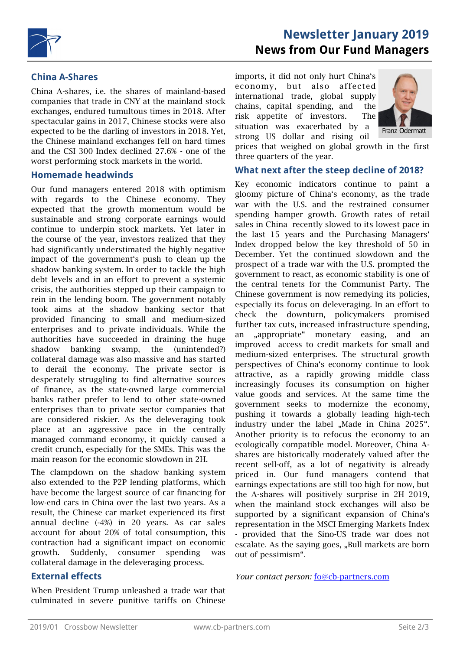

# **Newsletter January 2019 News from Our Fund Managers**

### **China A-Shares**

China A-shares, i.e. the shares of mainland-based companies that trade in CNY at the mainland stock exchanges, endured tumultous times in 2018. After spectacular gains in 2017, Chinese stocks were also expected to be the darling of investors in 2018. Yet, the Chinese mainland exchanges fell on hard times and the CSI 300 Index declined 27.6% - one of the worst performing stock markets in the world.

#### **Homemade headwinds**

Our fund managers entered 2018 with optimism with regards to the Chinese economy. They expected that the growth momentum would be sustainable and strong corporate earnings would continue to underpin stock markets. Yet later in the course of the year, investors realized that they had significantly understimated the highly negative impact of the government's push to clean up the shadow banking system. In order to tackle the high debt levels and in an effort to prevent a systemic crisis, the authorities stepped up their campaign to rein in the lending boom. The government notably took aims at the shadow banking sector that provided financing to small and medium-sized enterprises and to private individuals. While the authorities have succeeded in draining the huge shadow banking swamp, the (unintended?) collateral damage was also massive and has started to derail the economy. The private sector is desperately struggling to find alternative sources of finance, as the state-owned large commercial banks rather prefer to lend to other state-owned enterprises than to private sector companies that are considered riskier. As the deleveraging took place at an aggressive pace in the centrally managed command economy, it quickly caused a credit crunch, especially for the SMEs. This was the main reason for the economic slowdown in 2H.

The clampdown on the shadow banking system also extended to the P2P lending platforms, which have become the largest source of car financing for low-end cars in China over the last two years. As a result, the Chinese car market experienced its first annual decline (-4%) in 20 years. As car sales account for about 20% of total consumption, this contraction had a significant impact on economic growth. Suddenly, consumer spending was collateral damage in the deleveraging process.

## **External effects**

When President Trump unleashed a trade war that culminated in severe punitive tariffs on Chinese

imports, it did not only hurt China's economy, but also affected international trade, global supply chains, capital spending, and the risk appetite of investors. The situation was exacerbated by a strong US dollar and rising oil



prices that weighed on global growth in the first three quarters of the year.

#### **What next after the steep decline of 2018?**

Key economic indicators continue to paint a gloomy picture of China's economy, as the trade war with the U.S. and the restrained consumer spending hamper growth. Growth rates of retail sales in China recently slowed to its lowest pace in the last 15 years and the Purchasing Managers' Index dropped below the key threshold of 50 in December. Yet the continued slowdown and the prospect of a trade war with the U.S. prompted the government to react, as economic stability is one of the central tenets for the Communist Party. The Chinese government is now remedying its policies, especially its focus on deleveraging. In an effort to check the downturn, policymakers promised further tax cuts, increased infrastructure spending, an ,appropriate" monetary easing, and an improved access to credit markets for small and medium-sized enterprises. The structural growth perspectives of China's economy continue to look attractive, as a rapidly growing middle class increasingly focuses its consumption on higher value goods and services. At the same time the government seeks to modernize the economy, pushing it towards a globally leading high-tech industry under the label "Made in China 2025". Another priority is to refocus the economy to an ecologically compatible model. Moreover, China Ashares are historically moderately valued after the recent sell-off, as a lot of negativity is already priced in. Our fund managers contend that earnings expectations are still too high for now, but the A-shares will positively surprise in 2H 2019, when the mainland stock exchanges will also be supported by a significant expansion of China's representation in the MSCI Emerging Markets Index - provided that the Sino-US trade war does not escalate. As the saying goes, "Bull markets are born out of pessimism".

*Your contact person:* fo@cb-partners.com